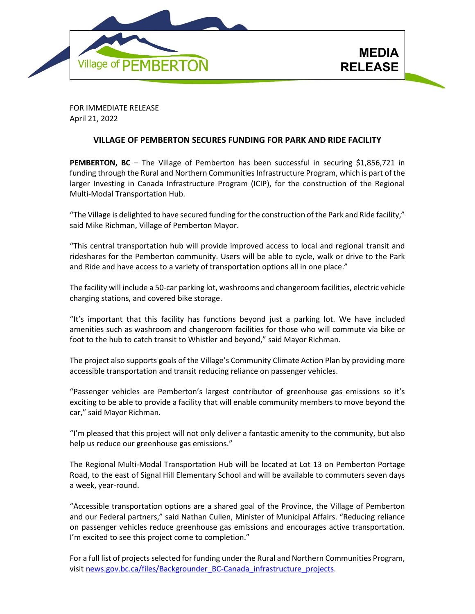

FOR IMMEDIATE RELEASE April 21, 2022

## **VILLAGE OF PEMBERTON SECURES FUNDING FOR PARK AND RIDE FACILITY**

**PEMBERTON, BC** – The Village of Pemberton has been successful in securing \$1,856,721 in funding through the Rural and Northern Communities Infrastructure Program, which is part of the larger Investing in Canada Infrastructure Program (ICIP), for the construction of the Regional Multi-Modal Transportation Hub.

"The Village is delighted to have secured funding for the construction of the Park and Ride facility," said Mike Richman, Village of Pemberton Mayor.

"This central transportation hub will provide improved access to local and regional transit and rideshares for the Pemberton community. Users will be able to cycle, walk or drive to the Park and Ride and have access to a variety of transportation options all in one place."

The facility will include a 50-car parking lot, washrooms and changeroom facilities, electric vehicle charging stations, and covered bike storage.

"It's important that this facility has functions beyond just a parking lot. We have included amenities such as washroom and changeroom facilities for those who will commute via bike or foot to the hub to catch transit to Whistler and beyond," said Mayor Richman.

The project also supports goals of the Village's Community Climate Action Plan by providing more accessible transportation and transit reducing reliance on passenger vehicles.

"Passenger vehicles are Pemberton's largest contributor of greenhouse gas emissions so it's exciting to be able to provide a facility that will enable community members to move beyond the car," said Mayor Richman.

"I'm pleased that this project will not only deliver a fantastic amenity to the community, but also help us reduce our greenhouse gas emissions."

The Regional Multi-Modal Transportation Hub will be located at Lot 13 on Pemberton Portage Road, to the east of Signal Hill Elementary School and will be available to commuters seven days a week, year-round.

"Accessible transportation options are a shared goal of the Province, the Village of Pemberton and our Federal partners," said Nathan Cullen, Minister of Municipal Affairs. "Reducing reliance on passenger vehicles reduce greenhouse gas emissions and encourages active transportation. I'm excited to see this project come to completion."

For a full list of projects selected for funding under the Rural and Northern Communities Program, visit [news.gov.bc.ca/files/Backgrounder\\_BC-Canada\\_infrastructure\\_projects.](https://news.gov.bc.ca/files/Backgrounder_BC-Canada_infrastructure_projects.pdf)